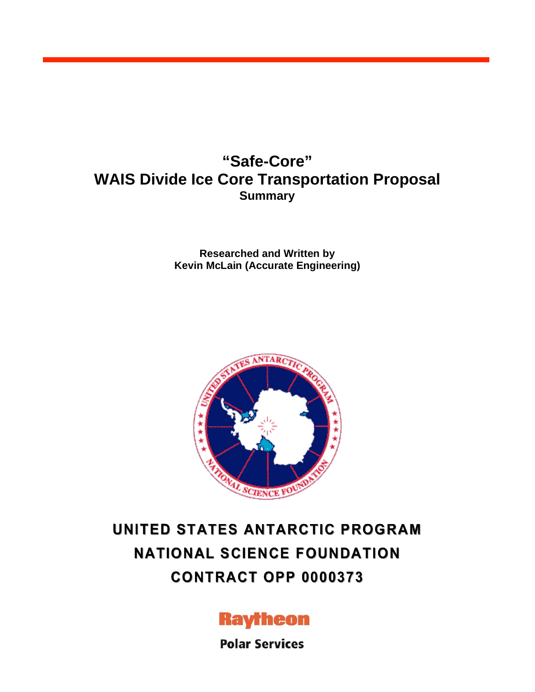# **"Safe-Core" WAIS Divide Ice Core Transportation Proposal Summary**

**Researched and Written by Kevin McLain (Accurate Engineering)**



# **UNITED STATES ANTARCTIC PROGRAM NATIONAL SCIENCE FOUNDATION CONTRACT OPP 0000373**



**Polar Services**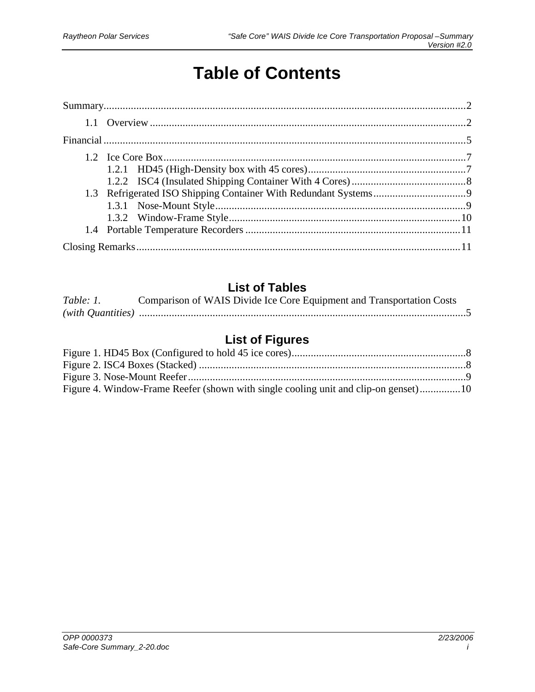# **Table of Contents**

# **List of Tables**

| Table: 1. | Comparison of WAIS Divide Ice Core Equipment and Transportation Costs |
|-----------|-----------------------------------------------------------------------|
|           |                                                                       |

# **List of Figures**

| Figure 4. Window-Frame Reefer (shown with single cooling unit and clip-on genset)10 |  |
|-------------------------------------------------------------------------------------|--|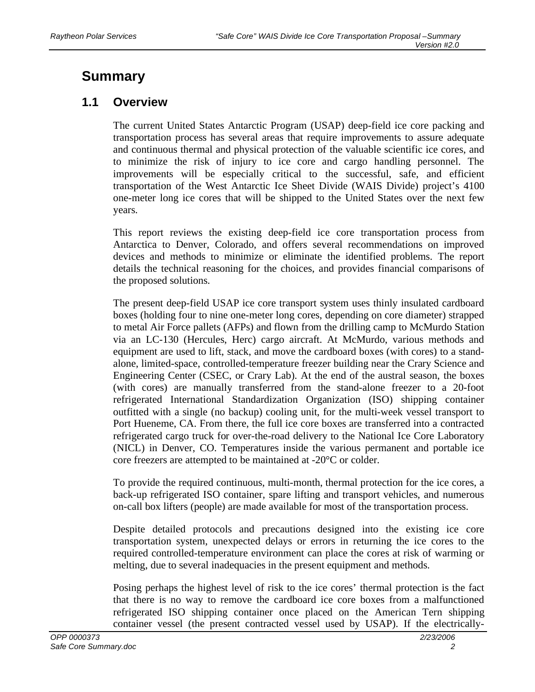# **Summary**

### **1.1 Overview**

The current United States Antarctic Program (USAP) deep-field ice core packing and transportation process has several areas that require improvements to assure adequate and continuous thermal and physical protection of the valuable scientific ice cores, and to minimize the risk of injury to ice core and cargo handling personnel. The improvements will be especially critical to the successful, safe, and efficient transportation of the West Antarctic Ice Sheet Divide (WAIS Divide) project's 4100 one-meter long ice cores that will be shipped to the United States over the next few years.

This report reviews the existing deep-field ice core transportation process from Antarctica to Denver, Colorado, and offers several recommendations on improved devices and methods to minimize or eliminate the identified problems. The report details the technical reasoning for the choices, and provides financial comparisons of the proposed solutions.

The present deep-field USAP ice core transport system uses thinly insulated cardboard boxes (holding four to nine one-meter long cores, depending on core diameter) strapped to metal Air Force pallets (AFPs) and flown from the drilling camp to McMurdo Station via an LC-130 (Hercules, Herc) cargo aircraft. At McMurdo, various methods and equipment are used to lift, stack, and move the cardboard boxes (with cores) to a standalone, limited-space, controlled-temperature freezer building near the Crary Science and Engineering Center (CSEC, or Crary Lab). At the end of the austral season, the boxes (with cores) are manually transferred from the stand-alone freezer to a 20-foot refrigerated International Standardization Organization (ISO) shipping container outfitted with a single (no backup) cooling unit, for the multi-week vessel transport to Port Hueneme, CA. From there, the full ice core boxes are transferred into a contracted refrigerated cargo truck for over-the-road delivery to the National Ice Core Laboratory (NICL) in Denver, CO. Temperatures inside the various permanent and portable ice core freezers are attempted to be maintained at -20°C or colder.

To provide the required continuous, multi-month, thermal protection for the ice cores, a back-up refrigerated ISO container, spare lifting and transport vehicles, and numerous on-call box lifters (people) are made available for most of the transportation process.

Despite detailed protocols and precautions designed into the existing ice core transportation system, unexpected delays or errors in returning the ice cores to the required controlled-temperature environment can place the cores at risk of warming or melting, due to several inadequacies in the present equipment and methods.

Posing perhaps the highest level of risk to the ice cores' thermal protection is the fact that there is no way to remove the cardboard ice core boxes from a malfunctioned refrigerated ISO shipping container once placed on the American Tern shipping container vessel (the present contracted vessel used by USAP). If the electrically-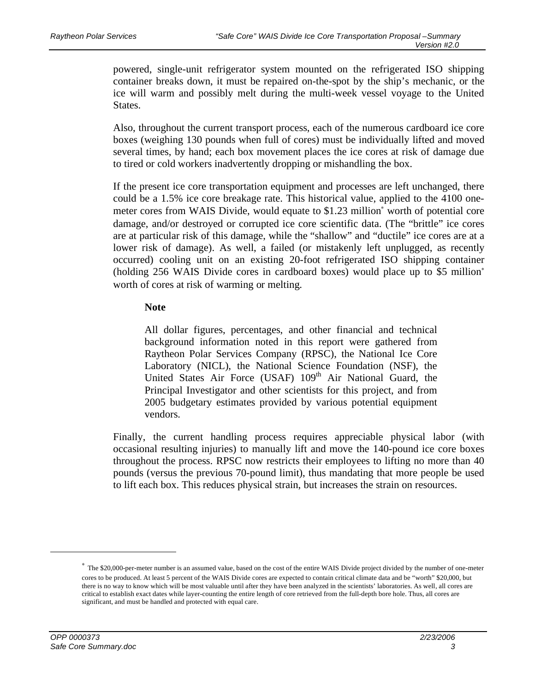powered, single-unit refrigerator system mounted on the refrigerated ISO shipping container breaks down, it must be repaired on-the-spot by the ship's mechanic, or the ice will warm and possibly melt during the multi-week vessel voyage to the United States.

Also, throughout the current transport process, each of the numerous cardboard ice core boxes (weighing 130 pounds when full of cores) must be individually lifted and moved several times, by hand; each box movement places the ice cores at risk of damage due to tired or cold workers inadvertently dropping or mishandling the box.

If the present ice core transportation equipment and processes are left unchanged, there could be a 1.5% ice core breakage rate. This historical value, applied to the 4100 onemeter cores from WAIS Divide, would equate to \$1.23 million<sup>\*</sup> worth of potential core damage, and/or destroyed or corrupted ice core scientific data. (The "brittle" ice cores are at particular risk of this damage, while the "shallow" and "ductile" ice cores are at a lower risk of damage). As well, a failed (or mistakenly left unplugged, as recently occurred) cooling unit on an existing 20-foot refrigerated ISO shipping container (holding 256 WAIS Divide cores in cardboard boxes) would place up to \$5 million worth of cores at risk of warming or melting.

#### **Note**

All dollar figures, percentages, and other financial and technical background information noted in this report were gathered from Raytheon Polar Services Company (RPSC), the National Ice Core Laboratory (NICL), the National Science Foundation (NSF), the United States Air Force (USAF) 109<sup>th</sup> Air National Guard, the Principal Investigator and other scientists for this project, and from 2005 budgetary estimates provided by various potential equipment vendors.

Finally, the current handling process requires appreciable physical labor (with occasional resulting injuries) to manually lift and move the 140-pound ice core boxes throughout the process. RPSC now restricts their employees to lifting no more than 40 pounds (versus the previous 70-pound limit), thus mandating that more people be used to lift each box. This reduces physical strain, but increases the strain on resources.

The \$20,000-per-meter number is an assumed value, based on the cost of the entire WAIS Divide project divided by the number of one-meter cores to be produced. At least 5 percent of the WAIS Divide cores are expected to contain critical climate data and be "worth" \$20,000, but there is no way to know which will be most valuable until after they have been analyzed in the scientists' laboratories. As well, all cores are critical to establish exact dates while layer-counting the entire length of core retrieved from the full-depth bore hole. Thus, all cores are significant, and must be handled and protected with equal care.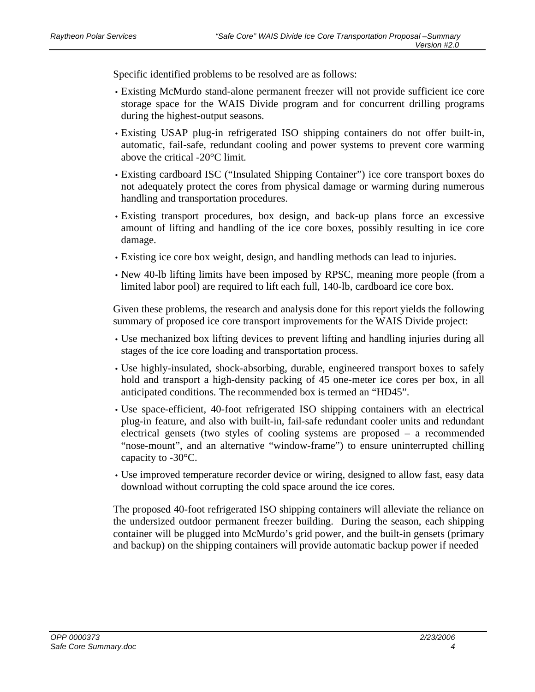Specific identified problems to be resolved are as follows:

- Existing McMurdo stand-alone permanent freezer will not provide sufficient ice core storage space for the WAIS Divide program and for concurrent drilling programs during the highest-output seasons.
- Existing USAP plug-in refrigerated ISO shipping containers do not offer built-in, automatic, fail-safe, redundant cooling and power systems to prevent core warming above the critical -20°C limit.
- Existing cardboard ISC ("Insulated Shipping Container") ice core transport boxes do not adequately protect the cores from physical damage or warming during numerous handling and transportation procedures.
- Existing transport procedures, box design, and back-up plans force an excessive amount of lifting and handling of the ice core boxes, possibly resulting in ice core damage.
- Existing ice core box weight, design, and handling methods can lead to injuries.
- New 40-lb lifting limits have been imposed by RPSC, meaning more people (from a limited labor pool) are required to lift each full, 140-lb, cardboard ice core box.

Given these problems, the research and analysis done for this report yields the following summary of proposed ice core transport improvements for the WAIS Divide project:

- Use mechanized box lifting devices to prevent lifting and handling injuries during all stages of the ice core loading and transportation process.
- Use highly-insulated, shock-absorbing, durable, engineered transport boxes to safely hold and transport a high-density packing of 45 one-meter ice cores per box, in all anticipated conditions. The recommended box is termed an "HD45".
- Use space-efficient, 40-foot refrigerated ISO shipping containers with an electrical plug-in feature, and also with built-in, fail-safe redundant cooler units and redundant electrical gensets (two styles of cooling systems are proposed – a recommended "nose-mount", and an alternative "window-frame") to ensure uninterrupted chilling capacity to -30°C.
- Use improved temperature recorder device or wiring, designed to allow fast, easy data download without corrupting the cold space around the ice cores.

The proposed 40-foot refrigerated ISO shipping containers will alleviate the reliance on the undersized outdoor permanent freezer building. During the season, each shipping container will be plugged into McMurdo's grid power, and the built-in gensets (primary and backup) on the shipping containers will provide automatic backup power if needed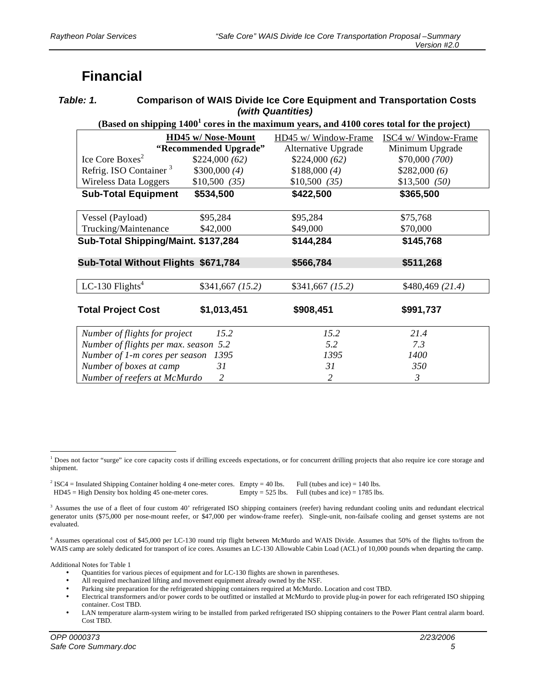# **Financial**

| Table: 1. | <b>Comparison of WAIS Divide Ice Core Equipment and Transportation Costs</b> |
|-----------|------------------------------------------------------------------------------|
|           | (with Quantities)                                                            |

#### (Based on shipping 1400<sup>1</sup> cores in the maximum years, and 4100 cores total for the project)

|                                                                       | <b>HD45 w/ Nose-Mount</b> | HD45 w/ Window-Frame<br>Alternative Upgrade | ISC4 w/ Window-Frame<br>Minimum Upgrade |
|-----------------------------------------------------------------------|---------------------------|---------------------------------------------|-----------------------------------------|
| "Recommended Upgrade"<br>Ice Core Boxes <sup>2</sup><br>\$224,000(62) |                           | \$224,000(62)                               | \$70,000 (700)                          |
| Refrig. ISO Container <sup>3</sup>                                    | \$300,000(4)              | \$188,000(4)                                | \$282,000(6)                            |
| Wireless Data Loggers                                                 | \$10,500 (35)             | \$10,500 (35)                               | \$13,500 (50)                           |
| <b>Sub-Total Equipment</b>                                            | \$534,500                 | \$422,500                                   | \$365,500                               |
| Vessel (Payload)                                                      | \$95,284                  | \$95,284                                    | \$75,768                                |
| Trucking/Maintenance                                                  | \$42,000                  | \$49,000                                    | \$70,000                                |
| Sub-Total Shipping/Maint. \$137,284                                   |                           | \$144,284                                   | \$145,768                               |
|                                                                       |                           |                                             |                                         |
| Sub-Total Without Flights \$671,784                                   |                           | \$566,784                                   | \$511,268                               |
| LC-130 $Flights4$                                                     | \$341,667 (15.2)          | \$341,667 (15.2)                            | \$480,469 (21.4)                        |
| <b>Total Project Cost</b>                                             | \$1,013,451               | \$908,451                                   | \$991,737                               |
| Number of flights for project                                         | 15.2                      | 15.2                                        | 21.4                                    |
| Number of flights per max. season 5.2                                 |                           | 5.2                                         | 7.3                                     |
| Number of 1-m cores per season                                        | 1395                      | 1395                                        | 1400                                    |
| Number of boxes at camp                                               | 31                        | 31                                          | 350                                     |
| Number of reefers at McMurdo                                          | 2                         | 2                                           | $\mathfrak{Z}$                          |

<sup>1</sup> Does not factor "surge" ice core capacity costs if drilling exceeds expectations, or for concurrent drilling projects that also require ice core storage and shipment.

 $^{2}$  ISC4 = Insulated Shipping Container holding 4 one-meter cores. Empty = 40 lbs. Full (tubes and ice) = 140 lbs. HD45 = High Density box holding 45 one-meter cores. Empty = 525 lbs. Full (tubes and ice) = 1785 lbs.

<sup>4</sup> Assumes operational cost of \$45,000 per LC-130 round trip flight between McMurdo and WAIS Divide. Assumes that 50% of the flights to/from the WAIS camp are solely dedicated for transport of ice cores. Assumes an LC-130 Allowable Cabin Load (ACL) of 10,000 pounds when departing the camp.

Additional Notes for Table 1

- Quantities for various pieces of equipment and for LC-130 flights are shown in parentheses.
- All required mechanized lifting and movement equipment already owned by the NSF.
- Parking site preparation for the refrigerated shipping containers required at McMurdo. Location and cost TBD.<br>• Flectrical transformers and/or nower cords to be outfitted or installed at McMurdo to provide plug-in power
- Electrical transformers and/or power cords to be outfitted or installed at McMurdo to provide plug-in power for each refrigerated ISO shipping container. Cost TBD.
- LAN temperature alarm-system wiring to be installed from parked refrigerated ISO shipping containers to the Power Plant central alarm board. Cost TBD.

<sup>&</sup>lt;sup>3</sup> Assumes the use of a fleet of four custom 40' refrigerated ISO shipping containers (reefer) having redundant cooling units and redundant electrical generator units (\$75,000 per nose-mount reefer, or \$47,000 per window-frame reefer). Single-unit, non-failsafe cooling and genset systems are not evaluated.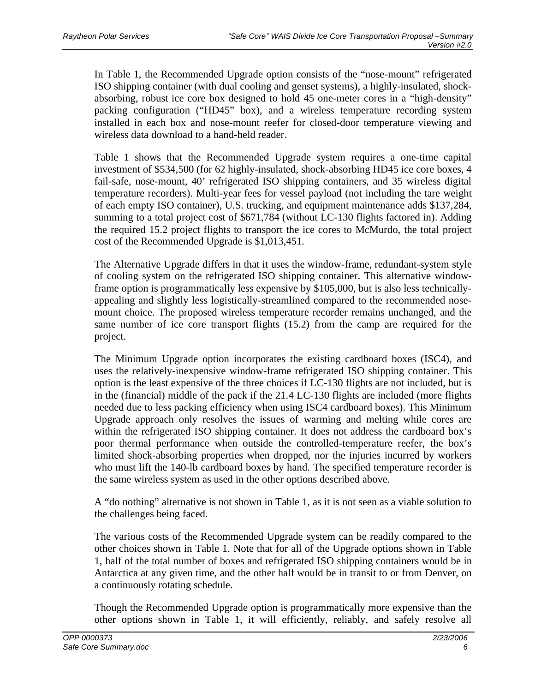In Table 1, the Recommended Upgrade option consists of the "nose-mount" refrigerated ISO shipping container (with dual cooling and genset systems), a highly-insulated, shockabsorbing, robust ice core box designed to hold 45 one-meter cores in a "high-density" packing configuration ("HD45" box), and a wireless temperature recording system installed in each box and nose-mount reefer for closed-door temperature viewing and wireless data download to a hand-held reader.

Table 1 shows that the Recommended Upgrade system requires a one-time capital investment of \$534,500 (for 62 highly-insulated, shock-absorbing HD45 ice core boxes, 4 fail-safe, nose-mount, 40' refrigerated ISO shipping containers, and 35 wireless digital temperature recorders). Multi-year fees for vessel payload (not including the tare weight of each empty ISO container), U.S. trucking, and equipment maintenance adds \$137,284, summing to a total project cost of \$671,784 (without LC-130 flights factored in). Adding the required 15.2 project flights to transport the ice cores to McMurdo, the total project cost of the Recommended Upgrade is \$1,013,451.

The Alternative Upgrade differs in that it uses the window-frame, redundant-system style of cooling system on the refrigerated ISO shipping container. This alternative windowframe option is programmatically less expensive by \$105,000, but is also less technicallyappealing and slightly less logistically-streamlined compared to the recommended nosemount choice. The proposed wireless temperature recorder remains unchanged, and the same number of ice core transport flights (15.2) from the camp are required for the project.

The Minimum Upgrade option incorporates the existing cardboard boxes (ISC4), and uses the relatively-inexpensive window-frame refrigerated ISO shipping container. This option is the least expensive of the three choices if LC-130 flights are not included, but is in the (financial) middle of the pack if the 21.4 LC-130 flights are included (more flights needed due to less packing efficiency when using ISC4 cardboard boxes). This Minimum Upgrade approach only resolves the issues of warming and melting while cores are within the refrigerated ISO shipping container. It does not address the cardboard box's poor thermal performance when outside the controlled-temperature reefer, the box's limited shock-absorbing properties when dropped, nor the injuries incurred by workers who must lift the 140-lb cardboard boxes by hand. The specified temperature recorder is the same wireless system as used in the other options described above.

A "do nothing" alternative is not shown in Table 1, as it is not seen as a viable solution to the challenges being faced.

The various costs of the Recommended Upgrade system can be readily compared to the other choices shown in Table 1. Note that for all of the Upgrade options shown in Table 1, half of the total number of boxes and refrigerated ISO shipping containers would be in Antarctica at any given time, and the other half would be in transit to or from Denver, on a continuously rotating schedule.

Though the Recommended Upgrade option is programmatically more expensive than the other options shown in Table 1, it will efficiently, reliably, and safely resolve all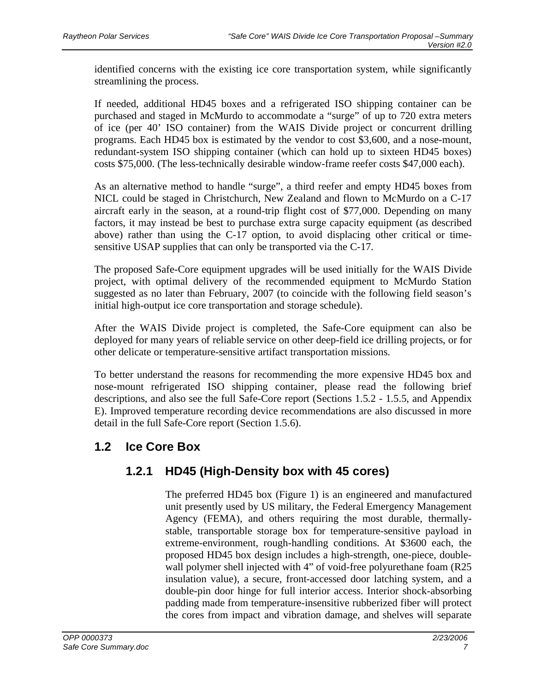identified concerns with the existing ice core transportation system, while significantly streamlining the process.

If needed, additional HD45 boxes and a refrigerated ISO shipping container can be purchased and staged in McMurdo to accommodate a "surge" of up to 720 extra meters of ice (per 40' ISO container) from the WAIS Divide project or concurrent drilling programs. Each HD45 box is estimated by the vendor to cost \$3,600, and a nose-mount, redundant-system ISO shipping container (which can hold up to sixteen HD45 boxes) costs \$75,000. (The less-technically desirable window-frame reefer costs \$47,000 each).

As an alternative method to handle "surge", a third reefer and empty HD45 boxes from NICL could be staged in Christchurch, New Zealand and flown to McMurdo on a C-17 aircraft early in the season, at a round-trip flight cost of \$77,000. Depending on many factors, it may instead be best to purchase extra surge capacity equipment (as described above) rather than using the C-17 option, to avoid displacing other critical or timesensitive USAP supplies that can only be transported via the C-17.

The proposed Safe-Core equipment upgrades will be used initially for the WAIS Divide project, with optimal delivery of the recommended equipment to McMurdo Station suggested as no later than February, 2007 (to coincide with the following field season's initial high-output ice core transportation and storage schedule).

After the WAIS Divide project is completed, the Safe-Core equipment can also be deployed for many years of reliable service on other deep-field ice drilling projects, or for other delicate or temperature-sensitive artifact transportation missions.

To better understand the reasons for recommending the more expensive HD45 box and nose-mount refrigerated ISO shipping container, please read the following brief descriptions, and also see the full Safe-Core report (Sections 1.5.2 - 1.5.5, and Appendix E). Improved temperature recording device recommendations are also discussed in more detail in the full Safe-Core report (Section 1.5.6).

### **1.2 Ice Core Box**

### **1.2.1 HD45 (High-Density box with 45 cores)**

The preferred HD45 box (Figure 1) is an engineered and manufactured unit presently used by US military, the Federal Emergency Management Agency (FEMA), and others requiring the most durable, thermallystable, transportable storage box for temperature-sensitive payload in extreme-environment, rough-handling conditions. At \$3600 each, the proposed HD45 box design includes a high-strength, one-piece, doublewall polymer shell injected with 4" of void-free polyurethane foam (R25) insulation value), a secure, front-accessed door latching system, and a double-pin door hinge for full interior access. Interior shock-absorbing padding made from temperature-insensitive rubberized fiber will protect the cores from impact and vibration damage, and shelves will separate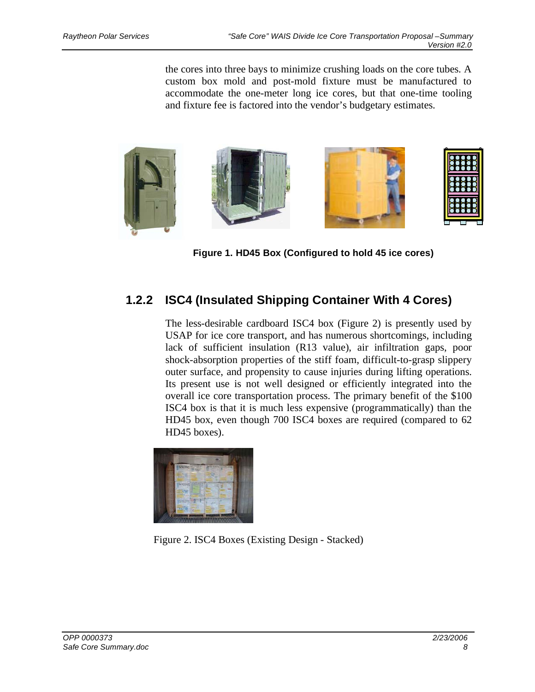the cores into three bays to minimize crushing loads on the core tubes. A custom box mold and post-mold fixture must be manufactured to accommodate the one-meter long ice cores, but that one-time tooling and fixture fee is factored into the vendor's budgetary estimates.



**Figure 1. HD45 Box (Configured to hold 45 ice cores)** 

# **1.2.2 ISC4 (Insulated Shipping Container With 4 Cores)**

The less-desirable cardboard ISC4 box (Figure 2) is presently used by USAP for ice core transport, and has numerous shortcomings, including lack of sufficient insulation (R13 value), air infiltration gaps, poor shock-absorption properties of the stiff foam, difficult-to-grasp slippery outer surface, and propensity to cause injuries during lifting operations. Its present use is not well designed or efficiently integrated into the overall ice core transportation process. The primary benefit of the \$100 ISC4 box is that it is much less expensive (programmatically) than the HD45 box, even though 700 ISC4 boxes are required (compared to 62 HD45 boxes).



Figure 2. ISC4 Boxes (Existing Design - Stacked)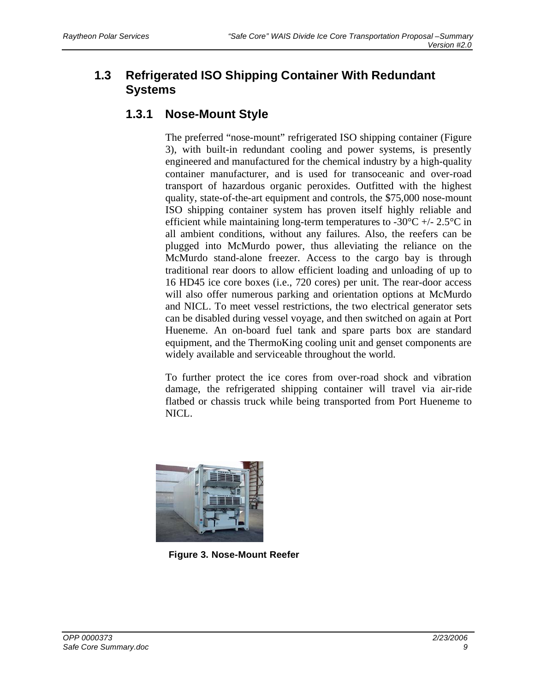# **1.3 Refrigerated ISO Shipping Container With Redundant Systems**

### **1.3.1 Nose-Mount Style**

The preferred "nose-mount" refrigerated ISO shipping container (Figure 3), with built-in redundant cooling and power systems, is presently engineered and manufactured for the chemical industry by a high-quality container manufacturer, and is used for transoceanic and over-road transport of hazardous organic peroxides. Outfitted with the highest quality, state-of-the-art equipment and controls, the \$75,000 nose-mount ISO shipping container system has proven itself highly reliable and efficient while maintaining long-term temperatures to  $-30^{\circ}\text{C}$  +/- 2.5 $^{\circ}\text{C}$  in all ambient conditions, without any failures. Also, the reefers can be plugged into McMurdo power, thus alleviating the reliance on the McMurdo stand-alone freezer. Access to the cargo bay is through traditional rear doors to allow efficient loading and unloading of up to 16 HD45 ice core boxes (i.e., 720 cores) per unit. The rear-door access will also offer numerous parking and orientation options at McMurdo and NICL. To meet vessel restrictions, the two electrical generator sets can be disabled during vessel voyage, and then switched on again at Port Hueneme. An on-board fuel tank and spare parts box are standard equipment, and the ThermoKing cooling unit and genset components are widely available and serviceable throughout the world.

To further protect the ice cores from over-road shock and vibration damage, the refrigerated shipping container will travel via air-ride flatbed or chassis truck while being transported from Port Hueneme to NICL.



**Figure 3. Nose-Mount Reefer**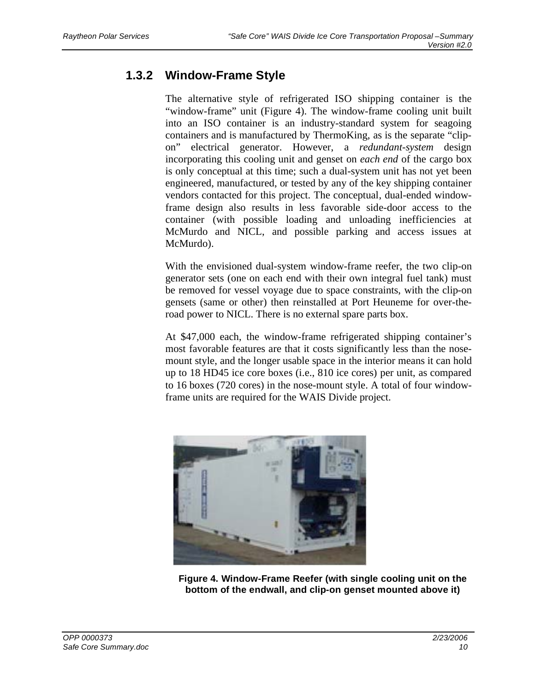# **1.3.2 Window-Frame Style**

The alternative style of refrigerated ISO shipping container is the "window-frame" unit (Figure 4). The window-frame cooling unit built into an ISO container is an industry-standard system for seagoing containers and is manufactured by ThermoKing, as is the separate "clipon" electrical generator. However, a *redundant-system* design incorporating this cooling unit and genset on *each end* of the cargo box is only conceptual at this time; such a dual-system unit has not yet been engineered, manufactured, or tested by any of the key shipping container vendors contacted for this project. The conceptual, dual-ended windowframe design also results in less favorable side-door access to the container (with possible loading and unloading inefficiencies at McMurdo and NICL, and possible parking and access issues at McMurdo).

With the envisioned dual-system window-frame reefer, the two clip-on generator sets (one on each end with their own integral fuel tank) must be removed for vessel voyage due to space constraints, with the clip-on gensets (same or other) then reinstalled at Port Heuneme for over-theroad power to NICL. There is no external spare parts box.

At \$47,000 each, the window-frame refrigerated shipping container's most favorable features are that it costs significantly less than the nosemount style, and the longer usable space in the interior means it can hold up to 18 HD45 ice core boxes (i.e., 810 ice cores) per unit, as compared to 16 boxes (720 cores) in the nose-mount style. A total of four windowframe units are required for the WAIS Divide project.



**Figure 4. Window-Frame Reefer (with single cooling unit on the bottom of the endwall, and clip-on genset mounted above it)**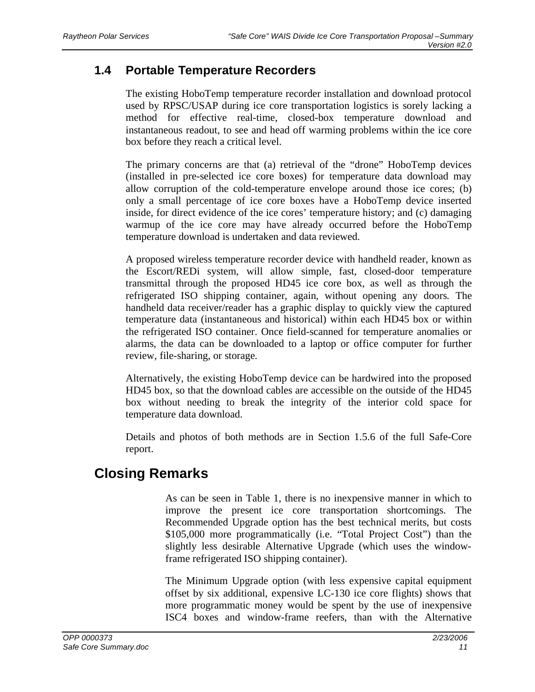### **1.4 Portable Temperature Recorders**

The existing HoboTemp temperature recorder installation and download protocol used by RPSC/USAP during ice core transportation logistics is sorely lacking a method for effective real-time, closed-box temperature download and instantaneous readout, to see and head off warming problems within the ice core box before they reach a critical level.

The primary concerns are that (a) retrieval of the "drone" HoboTemp devices (installed in pre-selected ice core boxes) for temperature data download may allow corruption of the cold-temperature envelope around those ice cores; (b) only a small percentage of ice core boxes have a HoboTemp device inserted inside, for direct evidence of the ice cores' temperature history; and (c) damaging warmup of the ice core may have already occurred before the HoboTemp temperature download is undertaken and data reviewed.

A proposed wireless temperature recorder device with handheld reader, known as the Escort/REDi system, will allow simple, fast, closed-door temperature transmittal through the proposed HD45 ice core box, as well as through the refrigerated ISO shipping container, again, without opening any doors. The handheld data receiver/reader has a graphic display to quickly view the captured temperature data (instantaneous and historical) within each HD45 box or within the refrigerated ISO container. Once field-scanned for temperature anomalies or alarms, the data can be downloaded to a laptop or office computer for further review, file-sharing, or storage.

Alternatively, the existing HoboTemp device can be hardwired into the proposed HD45 box, so that the download cables are accessible on the outside of the HD45 box without needing to break the integrity of the interior cold space for temperature data download.

Details and photos of both methods are in Section 1.5.6 of the full Safe-Core report.

# **Closing Remarks**

As can be seen in Table 1, there is no inexpensive manner in which to improve the present ice core transportation shortcomings. The Recommended Upgrade option has the best technical merits, but costs \$105,000 more programmatically (i.e. "Total Project Cost") than the slightly less desirable Alternative Upgrade (which uses the windowframe refrigerated ISO shipping container).

The Minimum Upgrade option (with less expensive capital equipment offset by six additional, expensive LC-130 ice core flights) shows that more programmatic money would be spent by the use of inexpensive ISC4 boxes and window-frame reefers, than with the Alternative